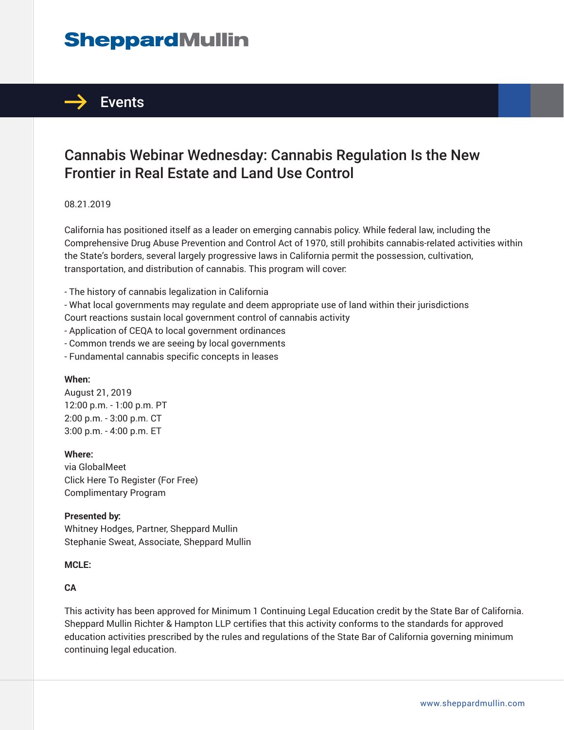# **SheppardMullin**



# Cannabis Webinar Wednesday: Cannabis Regulation Is the New Frontier in Real Estate and Land Use Control

#### 08.21.2019

California has positioned itself as a leader on emerging cannabis policy. While federal law, including the Comprehensive Drug Abuse Prevention and Control Act of 1970, still prohibits cannabis-related activities within the State's borders, several largely progressive laws in California permit the possession, cultivation, transportation, and distribution of cannabis. This program will cover:

- The history of cannabis legalization in California
- What local governments may regulate and deem appropriate use of land within their jurisdictions
- Court reactions sustain local government control of cannabis activity
- Application of CEQA to local government ordinances
- Common trends we are seeing by local governments
- Fundamental cannabis specific concepts in leases

#### **When:**

August 21, 2019 12:00 p.m. - 1:00 p.m. PT 2:00 p.m. - 3:00 p.m. CT 3:00 p.m. - 4:00 p.m. ET

#### **Where:**

via GlobalMeet Click Here To Register (For Free) Complimentary Program

#### **Presented by:**

Whitney Hodges, Partner, Sheppard Mullin Stephanie Sweat, Associate, Sheppard Mullin

#### **MCLE:**

#### **CA**

This activity has been approved for Minimum 1 Continuing Legal Education credit by the State Bar of California. Sheppard Mullin Richter & Hampton LLP certifies that this activity conforms to the standards for approved education activities prescribed by the rules and regulations of the State Bar of California governing minimum continuing legal education.